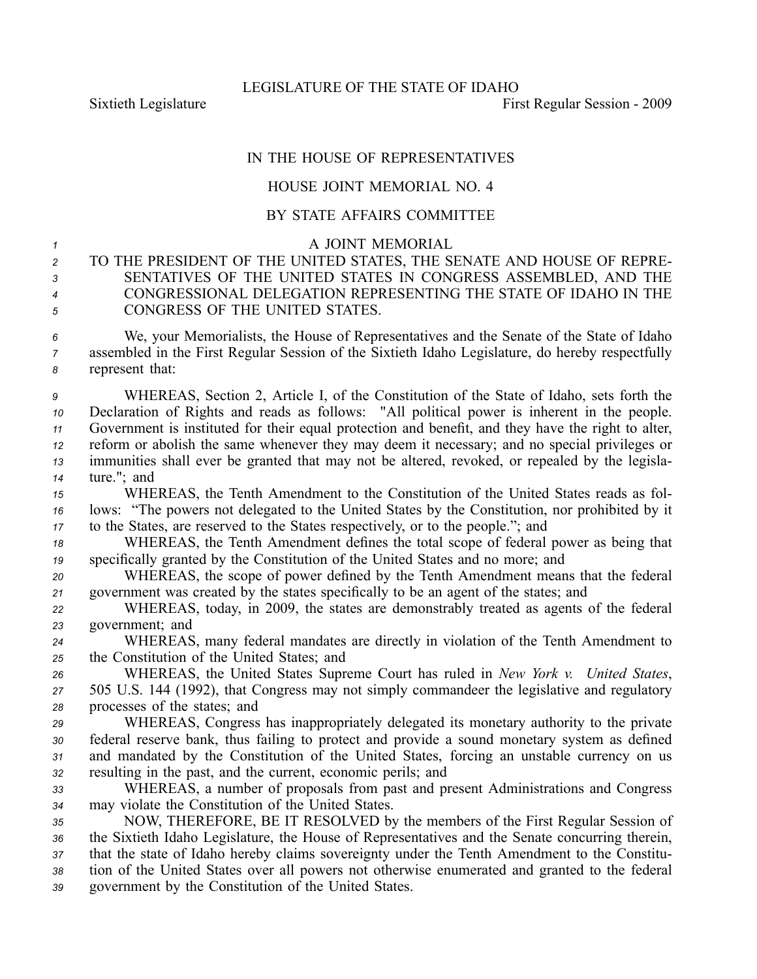Sixtieth Legislature **First** Regular Session - 2009

## IN THE HOUSE OF REPRESENTATIVES

## HOUSE JOINT MEMORIAL NO. 4

## BY STATE AFFAIRS COMMITTEE

<sup>1</sup> A JOINT MEMORIAL

 TO THE PRESIDENT OF THE UNITED STATES, THE SENATE AND HOUSE OF REPRE- SENTATIVES OF THE UNITED STATES IN CONGRESS ASSEMBLED, AND THE CONGRESSIONAL DELEGATION REPRESENTING THE STATE OF IDAHO IN THE CONGRESS OF THE UNITED STATES.

*<sup>6</sup>* We, your Memorialists, the House of Representatives and the Senate of the State of Idaho *<sup>7</sup>* assembled in the First Regular Session of the Sixtieth Idaho Legislature, do hereby respectfully *<sup>8</sup>* represen<sup>t</sup> that:

 WHEREAS, Section 2, Article I, of the Constitution of the State of Idaho, sets forth the Declaration of Rights and reads as follows: "All political power is inherent in the people. Government is instituted for their equal protection and benefit, and they have the right to alter, reform or abolish the same whenever they may deem it necessary; and no special privileges or immunities shall ever be granted that may not be altered, revoked, or repealed by the legisla-ture."; and

*<sup>15</sup>* WHEREAS, the Tenth Amendment to the Constitution of the United States reads as fol-*<sup>16</sup>* lows: "The powers not delegated to the United States by the Constitution, nor prohibited by it *<sup>17</sup>* to the States, are reserved to the States respectively, or to the people."; and

*<sup>18</sup>* WHEREAS, the Tenth Amendment defines the total scope of federal power as being that *<sup>19</sup>* specifically granted by the Constitution of the United States and no more; and

*<sup>20</sup>* WHEREAS, the scope of power defined by the Tenth Amendment means that the federal *<sup>21</sup>* governmen<sup>t</sup> was created by the states specifically to be an agen<sup>t</sup> of the states; and

*<sup>22</sup>* WHEREAS, today, in 2009, the states are demonstrably treated as agents of the federal *<sup>23</sup>* government; and

*<sup>24</sup>* WHEREAS, many federal mandates are directly in violation of the Tenth Amendment to *<sup>25</sup>* the Constitution of the United States; and

*<sup>26</sup>* WHEREAS, the United States Supreme Court has ruled in *New York v. United States*, *<sup>27</sup>* 505 U.S. 144 (1992), that Congress may not simply commandeer the legislative and regulatory *<sup>28</sup>* processes of the states; and

 WHEREAS, Congress has inappropriately delegated its monetary authority to the private federal reserve bank, thus failing to protect and provide <sup>a</sup> sound monetary system as defined and mandated by the Constitution of the United States, forcing an unstable currency on us resulting in the past, and the current, economic perils; and

*<sup>33</sup>* WHEREAS, <sup>a</sup> number of proposals from pas<sup>t</sup> and presen<sup>t</sup> Administrations and Congress *<sup>34</sup>* may violate the Constitution of the United States.

 NOW, THEREFORE, BE IT RESOLVED by the members of the First Regular Session of the Sixtieth Idaho Legislature, the House of Representatives and the Senate concurring therein, that the state of Idaho hereby claims sovereignty under the Tenth Amendment to the Constitu- tion of the United States over all powers not otherwise enumerated and granted to the federal governmen<sup>t</sup> by the Constitution of the United States.